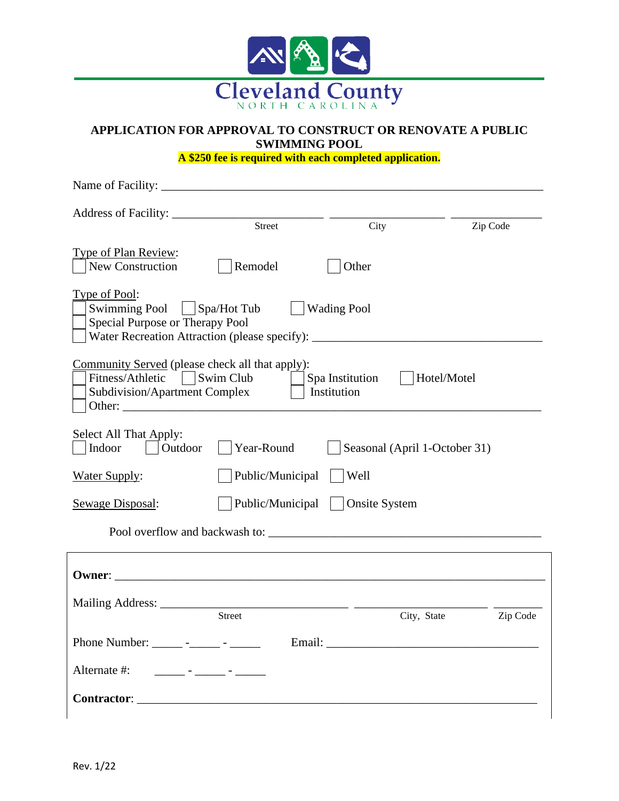

## **APPLICATION FOR APPROVAL TO CONSTRUCT OR RENOVATE A PUBLIC SWIMMING POOL**

**A \$250 fee is required with each completed application.**

| Name of Facility:                                                                                                                                                   |                                |                                |                               |          |
|---------------------------------------------------------------------------------------------------------------------------------------------------------------------|--------------------------------|--------------------------------|-------------------------------|----------|
| Address of Facility: __                                                                                                                                             | Street                         |                                | Zip Code                      |          |
|                                                                                                                                                                     |                                | City                           |                               |          |
| <b>Type of Plan Review:</b><br><b>New Construction</b>                                                                                                              | Remodel                        | Other                          |                               |          |
| Type of Pool:<br>Swimming Pool   Spa/Hot Tub<br>Special Purpose or Therapy Pool<br>Water Recreation Attraction (please specify): __________________________________ |                                | <b>Wading Pool</b>             |                               |          |
| Community Served (please check all that apply):<br>Fitness/Athletic<br>Subdivision/Apartment Complex                                                                | Swim Club                      | Spa Institution<br>Institution | Hotel/Motel                   |          |
| Select All That Apply:<br>Indoor<br>Outdoor                                                                                                                         | Year-Round                     |                                | Seasonal (April 1-October 31) |          |
| <b>Water Supply:</b>                                                                                                                                                | Public/Municipal               | Well                           |                               |          |
| <b>Sewage Disposal:</b>                                                                                                                                             | Public/Municipal               | <b>Onsite System</b>           |                               |          |
|                                                                                                                                                                     | Pool overflow and backwash to: |                                |                               |          |
|                                                                                                                                                                     |                                |                                |                               |          |
| Owner:                                                                                                                                                              |                                |                                |                               |          |
|                                                                                                                                                                     |                                |                                |                               |          |
|                                                                                                                                                                     | Street                         |                                | City, State                   | Zip Code |
| Phone Number: _____ - ____ - _____ -                                                                                                                                |                                |                                |                               |          |
| Alternate #:<br>and the second company of the second                                                                                                                |                                |                                |                               |          |
| <b>Contractor:</b>                                                                                                                                                  |                                |                                |                               |          |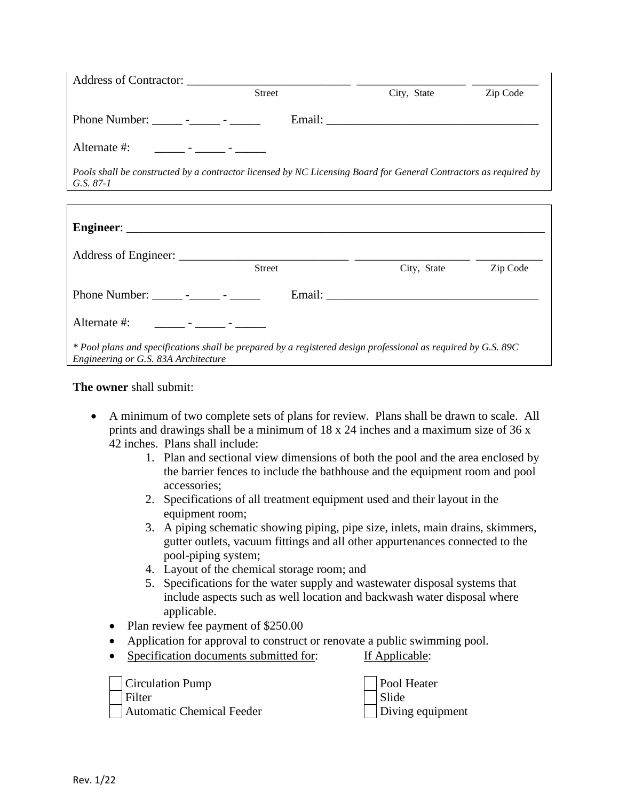| Address of Contractor:                                                                                                                | <b>Street</b> | City, State                                                                                                      | Zip Code |
|---------------------------------------------------------------------------------------------------------------------------------------|---------------|------------------------------------------------------------------------------------------------------------------|----------|
| Phone Number: ______ -_____ - ______                                                                                                  |               |                                                                                                                  |          |
| Alternate #:<br><u> 1990 - Jan Andrew Harry Harry Harry Harry Harry Harry Harry Harry Harry Harry Harry Harry Harry Harry Harry H</u> |               |                                                                                                                  |          |
| G.S. $87-1$                                                                                                                           |               | Pools shall be constructed by a contractor licensed by NC Licensing Board for General Contractors as required by |          |
|                                                                                                                                       |               |                                                                                                                  |          |
|                                                                                                                                       |               |                                                                                                                  |          |
|                                                                                                                                       |               |                                                                                                                  |          |
|                                                                                                                                       | <b>Street</b> | City, State                                                                                                      | Zip Code |

| Phone Number:<br>$\overline{\phantom{0}}$                                                                       | Email: |
|-----------------------------------------------------------------------------------------------------------------|--------|
|                                                                                                                 |        |
| Alternate #:                                                                                                    |        |
|                                                                                                                 |        |
| $*$ Pool plans and specifications shall be prepared by a registered design professional as required by G.S. 89C |        |
| Engineering or G.S. 83A Architecture                                                                            |        |

#### **The owner** shall submit:

- A minimum of two complete sets of plans for review. Plans shall be drawn to scale. All prints and drawings shall be a minimum of 18 x 24 inches and a maximum size of 36 x 42 inches. Plans shall include:
	- 1. Plan and sectional view dimensions of both the pool and the area enclosed by the barrier fences to include the bathhouse and the equipment room and pool accessories;
	- 2. Specifications of all treatment equipment used and their layout in the equipment room;
	- 3. A piping schematic showing piping, pipe size, inlets, main drains, skimmers, gutter outlets, vacuum fittings and all other appurtenances connected to the pool-piping system;
	- 4. Layout of the chemical storage room; and
	- 5. Specifications for the water supply and wastewater disposal systems that include aspects such as well location and backwash water disposal where applicable.
	- Plan review fee payment of \$250.00
	- Application for approval to construct or renovate a public swimming pool.
	- Specification documents submitted for: If Applicable:

Circulation Pump Pool Heater Filter Slide Automatic Chemical Feeder **Diving equipment**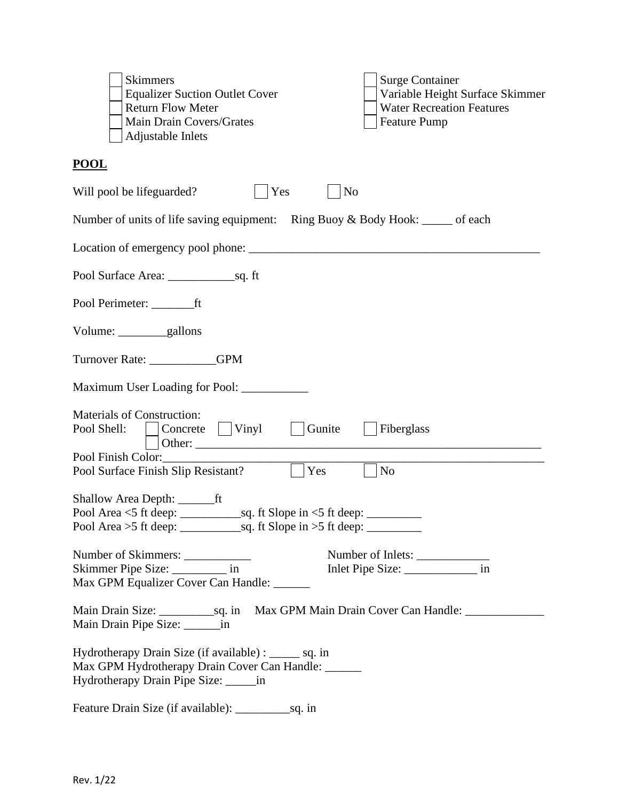| <b>Surge Container</b><br><b>Skimmers</b><br><b>Equalizer Suction Outlet Cover</b><br>Variable Height Surface Skimmer<br><b>Water Recreation Features</b><br><b>Return Flow Meter</b><br>Main Drain Covers/Grates<br><b>Feature Pump</b><br>Adjustable Inlets |
|---------------------------------------------------------------------------------------------------------------------------------------------------------------------------------------------------------------------------------------------------------------|
| <b>POOL</b>                                                                                                                                                                                                                                                   |
| Yes<br>N <sub>o</sub><br>Will pool be lifeguarded?                                                                                                                                                                                                            |
| Number of units of life saving equipment: Ring Buoy & Body Hook: _____ of each                                                                                                                                                                                |
|                                                                                                                                                                                                                                                               |
|                                                                                                                                                                                                                                                               |
|                                                                                                                                                                                                                                                               |
|                                                                                                                                                                                                                                                               |
| Turnover Rate: _________GPM                                                                                                                                                                                                                                   |
|                                                                                                                                                                                                                                                               |
| <b>Materials of Construction:</b><br>$\Box$ Concrete $\Box$ Vinyl<br>Gunite<br>$\vert$ Fiberglass<br>Pool Shell:<br>and the property                                                                                                                          |
| Pool Finish Color:<br>$\overline{\rm No}$<br>Yes<br>Pool Surface Finish Slip Resistant?                                                                                                                                                                       |
|                                                                                                                                                                                                                                                               |
| Number of Skimmers:<br>Number of Inlets:<br>Skimmer Pipe Size: ____________ in<br>Max GPM Equalizer Cover Can Handle: ______                                                                                                                                  |
| Main Drain Pipe Size: _________ in                                                                                                                                                                                                                            |
| Hydrotherapy Drain Size (if available) : ______ sq. in<br>Max GPM Hydrotherapy Drain Cover Can Handle: ______<br>Hydrotherapy Drain Pipe Size: _______ in                                                                                                     |
|                                                                                                                                                                                                                                                               |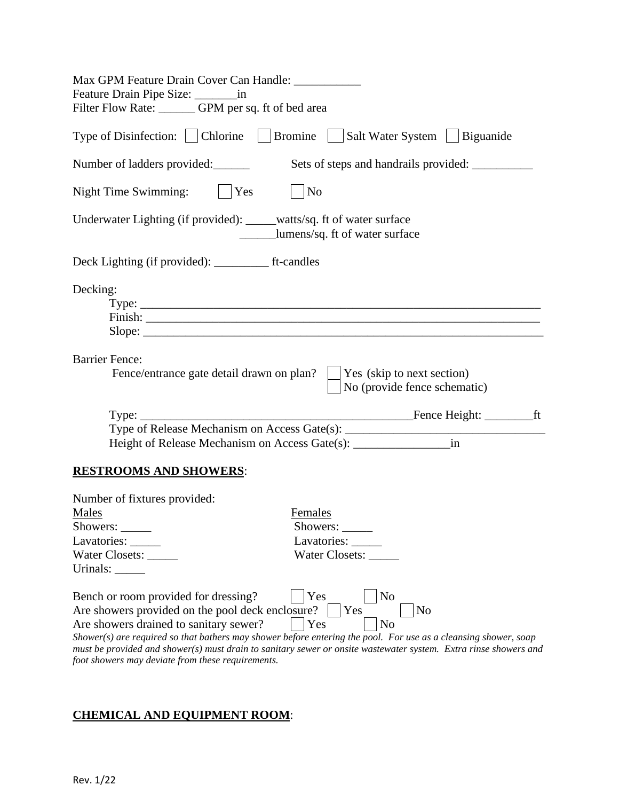| Max GPM Feature Drain Cover Can Handle: ____________                                                                                                                                                                                                                                                                                                                                                                         |
|------------------------------------------------------------------------------------------------------------------------------------------------------------------------------------------------------------------------------------------------------------------------------------------------------------------------------------------------------------------------------------------------------------------------------|
| Feature Drain Pipe Size: _______________ in                                                                                                                                                                                                                                                                                                                                                                                  |
| Filter Flow Rate: ________ GPM per sq. ft of bed area                                                                                                                                                                                                                                                                                                                                                                        |
| Type of Disinfection:   Chlorine   Bromine   Salt Water System   Biguanide                                                                                                                                                                                                                                                                                                                                                   |
| Number of ladders provided:                                                                                                                                                                                                                                                                                                                                                                                                  |
| No<br>Night Time Swimming:<br>$\vert$ Yes                                                                                                                                                                                                                                                                                                                                                                                    |
| Underwater Lighting (if provided): _____watts/sq. ft of water surface<br>_________lumens/sq. ft of water surface                                                                                                                                                                                                                                                                                                             |
| Deck Lighting (if provided): ____________ ft-candles                                                                                                                                                                                                                                                                                                                                                                         |
| Decking:                                                                                                                                                                                                                                                                                                                                                                                                                     |
| <b>Barrier Fence:</b><br>Fence/entrance gate detail drawn on plan?<br>Yes (skip to next section)<br>No (provide fence schematic)                                                                                                                                                                                                                                                                                             |
|                                                                                                                                                                                                                                                                                                                                                                                                                              |
| Type of Release Mechanism on Access Gate(s): ___________________________________                                                                                                                                                                                                                                                                                                                                             |
| in<br>Height of Release Mechanism on Access Gate(s): __________________________________                                                                                                                                                                                                                                                                                                                                      |
| <b>RESTROOMS AND SHOWERS:</b>                                                                                                                                                                                                                                                                                                                                                                                                |
| Number of fixtures provided:<br><b>Males</b><br>Females<br>Showers:<br>Showers:<br>Lavatories: _____<br>Water Closets:<br>Water Closets:                                                                                                                                                                                                                                                                                     |
| Yes<br>Bench or room provided for dressing?<br>No<br>Are showers provided on the pool deck enclosure?<br>No<br>Yes<br>Yes<br>Are showers drained to sanitary sewer?<br>N <sub>0</sub><br>Shower(s) are required so that bathers may shower before entering the pool. For use as a cleansing shower, soap<br>must be provided and shower(s) must drain to sanitary sewer or onsite wastewater system. Extra rinse showers and |

*foot showers may deviate from these requirements.*

# **CHEMICAL AND EQUIPMENT ROOM**: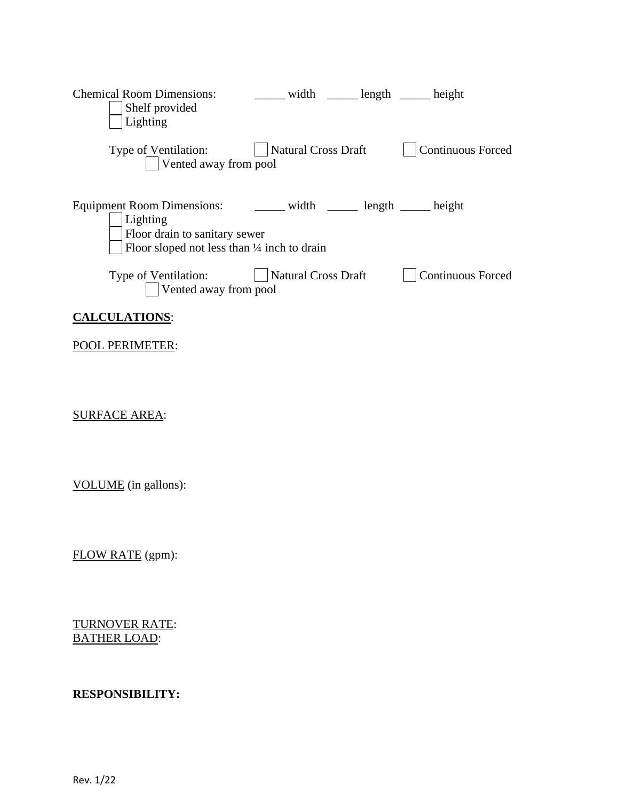| <b>Chemical Room Dimensions:</b><br>Shelf provided<br>Lighting                                                                                                                | _______ width ________ length _______ height |                          |
|-------------------------------------------------------------------------------------------------------------------------------------------------------------------------------|----------------------------------------------|--------------------------|
| Type of Ventilation:<br>Vented away from pool                                                                                                                                 | Natural Cross Draft                          | <b>Continuous Forced</b> |
| Equipment Room Dimensions: ________ width _______ length ______ height<br>Lighting<br>Floor drain to sanitary sewer<br>Floor sloped not less than $\frac{1}{4}$ inch to drain |                                              |                          |
| Type of Ventilation:<br>Vented away from pool                                                                                                                                 | <b>Natural Cross Draft</b>                   | <b>Continuous Forced</b> |
| <b>CALCULATIONS:</b>                                                                                                                                                          |                                              |                          |
| <b>POOL PERIMETER:</b>                                                                                                                                                        |                                              |                          |
| <b>SURFACE AREA:</b>                                                                                                                                                          |                                              |                          |

VOLUME (in gallons):

FLOW RATE (gpm):

TURNOVER RATE: BATHER LOAD:

## **RESPONSIBILITY:**